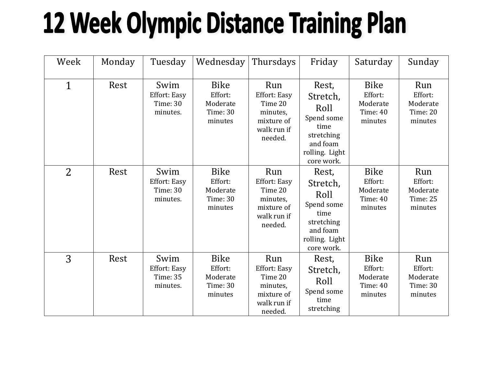## **12 Week Olympic Distance Training Plan**

| Week           | Monday | Tuesday                                             | Wednesday                                                        | Thursdays                                                                                 | Friday                                                                                                    | Saturday                                                         | Sunday                                                   |
|----------------|--------|-----------------------------------------------------|------------------------------------------------------------------|-------------------------------------------------------------------------------------------|-----------------------------------------------------------------------------------------------------------|------------------------------------------------------------------|----------------------------------------------------------|
| $\mathbf{1}$   | Rest   | Swim<br>Effort: Easy<br><b>Time: 30</b><br>minutes. | Bike<br>Effort:<br>Moderate<br><b>Time: 30</b><br>minutes        | Run<br><b>Effort: Easy</b><br>Time 20<br>minutes,<br>mixture of<br>walk run if<br>needed. | Rest,<br>Stretch,<br>Roll<br>Spend some<br>time<br>stretching<br>and foam<br>rolling. Light<br>core work. | <b>Bike</b><br>Effort:<br>Moderate<br><b>Time: 40</b><br>minutes | Run<br>Effort:<br>Moderate<br>Time: 20<br>minutes        |
| $\overline{2}$ | Rest   | Swim<br>Effort: Easy<br>Time: 30<br>minutes.        | <b>Bike</b><br>Effort:<br>Moderate<br><b>Time: 30</b><br>minutes | Run<br>Effort: Easy<br>Time 20<br>minutes,<br>mixture of<br>walk run if<br>needed.        | Rest,<br>Stretch,<br>Roll<br>Spend some<br>time<br>stretching<br>and foam<br>rolling. Light<br>core work. | <b>Bike</b><br>Effort:<br>Moderate<br>Time: 40<br>minutes        | Run<br>Effort:<br>Moderate<br><b>Time: 25</b><br>minutes |
| 3              | Rest   | Swim<br>Effort: Easy<br><b>Time: 35</b><br>minutes. | <b>Bike</b><br>Effort:<br>Moderate<br>Time: 30<br>minutes        | Run<br><b>Effort: Easy</b><br>Time 20<br>minutes,<br>mixture of<br>walk run if<br>needed. | Rest,<br>Stretch,<br>Roll<br>Spend some<br>time<br>stretching                                             | <b>Bike</b><br>Effort:<br>Moderate<br>Time: 40<br>minutes        | Run<br>Effort:<br>Moderate<br>Time: 30<br>minutes        |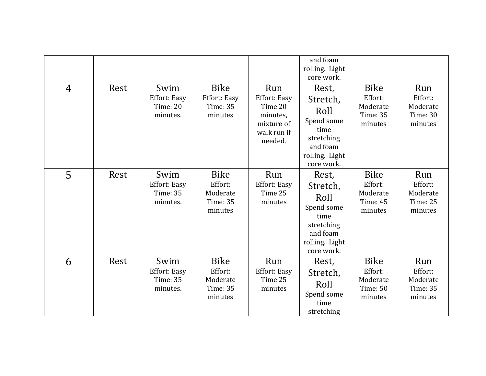|                |      |                                                     |                                                                  |                                                                                           | and foam<br>rolling. Light<br>core work.                                                                  |                                                                  |                                                          |
|----------------|------|-----------------------------------------------------|------------------------------------------------------------------|-------------------------------------------------------------------------------------------|-----------------------------------------------------------------------------------------------------------|------------------------------------------------------------------|----------------------------------------------------------|
| $\overline{4}$ | Rest | Swim<br>Effort: Easy<br>Time: 20<br>minutes.        | <b>Bike</b><br><b>Effort: Easy</b><br>Time: 35<br>minutes        | Run<br><b>Effort: Easy</b><br>Time 20<br>minutes,<br>mixture of<br>walk run if<br>needed. | Rest,<br>Stretch,<br>Roll<br>Spend some<br>time<br>stretching<br>and foam<br>rolling. Light<br>core work. | <b>Bike</b><br>Effort:<br>Moderate<br><b>Time: 35</b><br>minutes | Run<br>Effort:<br>Moderate<br><b>Time: 30</b><br>minutes |
| 5              | Rest | Swim<br>Effort: Easy<br><b>Time: 35</b><br>minutes. | <b>Bike</b><br>Effort:<br>Moderate<br>Time: 35<br>minutes        | Run<br><b>Effort: Easy</b><br>Time 25<br>minutes                                          | Rest,<br>Stretch,<br>Roll<br>Spend some<br>time<br>stretching<br>and foam<br>rolling. Light<br>core work. | <b>Bike</b><br>Effort:<br>Moderate<br><b>Time: 45</b><br>minutes | Run<br>Effort:<br>Moderate<br>Time: 25<br>minutes        |
| 6              | Rest | Swim<br>Effort: Easy<br>Time: 35<br>minutes.        | <b>Bike</b><br>Effort:<br>Moderate<br><b>Time: 35</b><br>minutes | Run<br><b>Effort: Easy</b><br>Time 25<br>minutes                                          | Rest,<br>Stretch,<br>Roll<br>Spend some<br>time<br>stretching                                             | <b>Bike</b><br>Effort:<br>Moderate<br>Time: 50<br>minutes        | Run<br>Effort:<br>Moderate<br><b>Time: 35</b><br>minutes |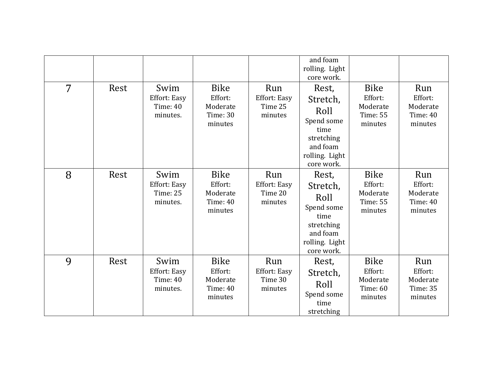|   |      |                                                     |                                                                  |                                                  | and foam<br>rolling. Light<br>core work.                                                                  |                                                                  |                                                          |
|---|------|-----------------------------------------------------|------------------------------------------------------------------|--------------------------------------------------|-----------------------------------------------------------------------------------------------------------|------------------------------------------------------------------|----------------------------------------------------------|
| 7 | Rest | Swim<br>Effort: Easy<br><b>Time: 40</b><br>minutes. | <b>Bike</b><br>Effort:<br>Moderate<br><b>Time: 30</b><br>minutes | Run<br><b>Effort: Easy</b><br>Time 25<br>minutes | Rest,<br>Stretch,<br>Roll<br>Spend some<br>time<br>stretching<br>and foam<br>rolling. Light<br>core work. | <b>Bike</b><br>Effort:<br>Moderate<br><b>Time: 55</b><br>minutes | Run<br>Effort:<br>Moderate<br>Time: 40<br>minutes        |
| 8 | Rest | Swim<br>Effort: Easy<br>Time: 25<br>minutes.        | <b>Bike</b><br>Effort:<br>Moderate<br>Time: 40<br>minutes        | Run<br><b>Effort: Easy</b><br>Time 20<br>minutes | Rest,<br>Stretch,<br>Roll<br>Spend some<br>time<br>stretching<br>and foam<br>rolling. Light<br>core work. | <b>Bike</b><br>Effort:<br>Moderate<br>Time: 55<br>minutes        | Run<br>Effort:<br>Moderate<br>Time: 40<br>minutes        |
| 9 | Rest | Swim<br>Effort: Easy<br>Time: 40<br>minutes.        | <b>Bike</b><br>Effort:<br>Moderate<br><b>Time: 40</b><br>minutes | Run<br><b>Effort: Easy</b><br>Time 30<br>minutes | Rest,<br>Stretch,<br>Roll<br>Spend some<br>time<br>stretching                                             | <b>Bike</b><br>Effort:<br>Moderate<br>Time: 60<br>minutes        | Run<br>Effort:<br>Moderate<br><b>Time: 35</b><br>minutes |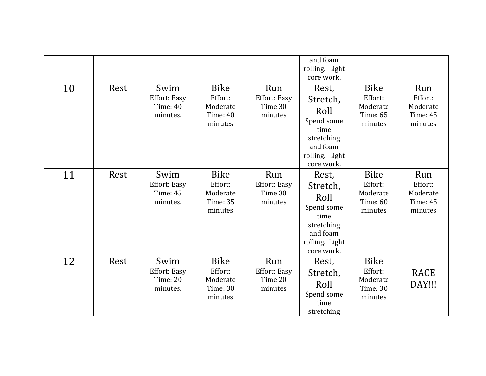|    |      |                                                     |                                                                  |                                                  | and foam<br>rolling. Light<br>core work.                                                                  |                                                                  |                                                          |
|----|------|-----------------------------------------------------|------------------------------------------------------------------|--------------------------------------------------|-----------------------------------------------------------------------------------------------------------|------------------------------------------------------------------|----------------------------------------------------------|
| 10 | Rest | Swim<br>Effort: Easy<br>Time: 40<br>minutes.        | <b>Bike</b><br>Effort:<br>Moderate<br><b>Time: 40</b><br>minutes | Run<br>Effort: Easy<br>Time 30<br>minutes        | Rest,<br>Stretch,<br>Roll<br>Spend some<br>time<br>stretching<br>and foam<br>rolling. Light<br>core work. | <b>Bike</b><br>Effort:<br>Moderate<br>Time: 65<br>minutes        | Run<br>Effort:<br>Moderate<br><b>Time: 45</b><br>minutes |
| 11 | Rest | Swim<br><b>Effort: Easy</b><br>Time: 45<br>minutes. | <b>Bike</b><br>Effort:<br>Moderate<br>Time: 35<br>minutes        | Run<br><b>Effort: Easy</b><br>Time 30<br>minutes | Rest,<br>Stretch,<br>Roll<br>Spend some<br>time<br>stretching<br>and foam<br>rolling. Light<br>core work. | <b>Bike</b><br>Effort:<br>Moderate<br>Time: 60<br>minutes        | Run<br>Effort:<br>Moderate<br>Time: 45<br>minutes        |
| 12 | Rest | Swim<br>Effort: Easy<br>Time: 20<br>minutes.        | <b>Bike</b><br>Effort:<br>Moderate<br><b>Time: 30</b><br>minutes | Run<br><b>Effort: Easy</b><br>Time 20<br>minutes | Rest,<br>Stretch,<br>Roll<br>Spend some<br>time<br>stretching                                             | <b>Bike</b><br>Effort:<br>Moderate<br><b>Time: 30</b><br>minutes | RACE<br>DAY!!!                                           |